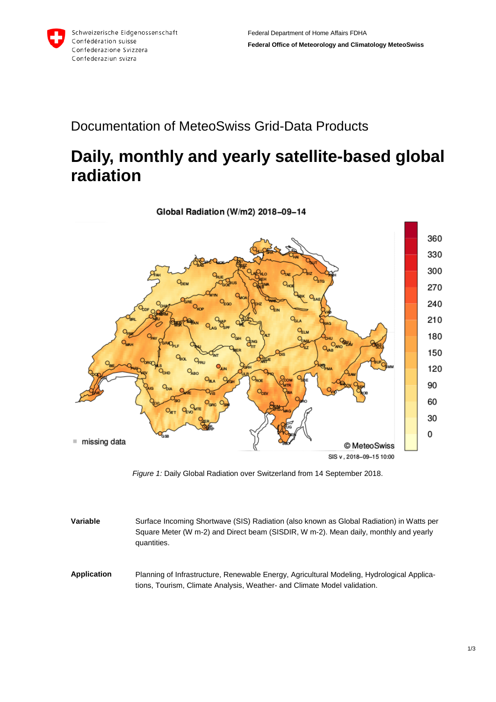

## Documentation of MeteoSwiss Grid-Data Products

## **Daily, monthly and yearly satellite-based global radiation**



*Figure 1:* Daily Global Radiation over Switzerland from 14 September 2018.

- **Variable** Surface Incoming Shortwave (SIS) Radiation (also known as Global Radiation) in Watts per Square Meter (W m-2) and Direct beam (SISDIR, W m-2). Mean daily, monthly and yearly quantities.
- **Application** Planning of Infrastructure, Renewable Energy, Agricultural Modeling, Hydrological Applications, Tourism, Climate Analysis, Weather- and Climate Model validation.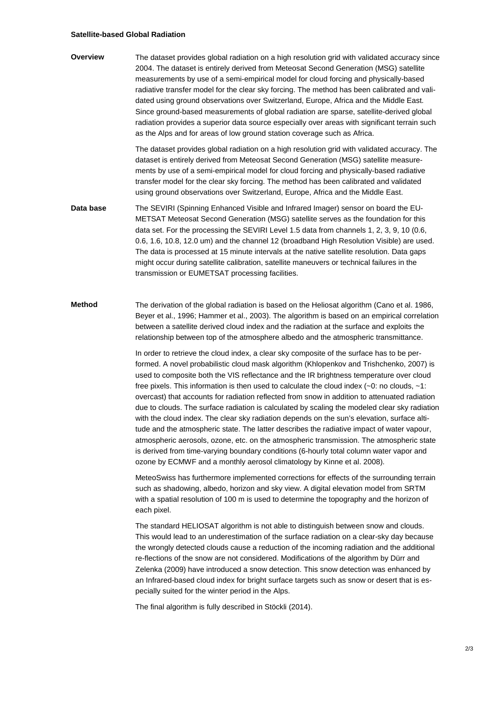## **Satellite-based Global Radiation**

**Overview** The dataset provides global radiation on a high resolution grid with validated accuracy since 2004. The dataset is entirely derived from Meteosat Second Generation (MSG) satellite measurements by use of a semi-empirical model for cloud forcing and physically-based radiative transfer model for the clear sky forcing. The method has been calibrated and validated using ground observations over Switzerland, Europe, Africa and the Middle East. Since ground-based measurements of global radiation are sparse, satellite-derived global radiation provides a superior data source especially over areas with significant terrain such as the Alps and for areas of low ground station coverage such as Africa.

> The dataset provides global radiation on a high resolution grid with validated accuracy. The dataset is entirely derived from Meteosat Second Generation (MSG) satellite measurements by use of a semi-empirical model for cloud forcing and physically-based radiative transfer model for the clear sky forcing. The method has been calibrated and validated using ground observations over Switzerland, Europe, Africa and the Middle East.

**Data base** The SEVIRI (Spinning Enhanced Visible and Infrared Imager) sensor on board the EU-METSAT Meteosat Second Generation (MSG) satellite serves as the foundation for this data set. For the processing the SEVIRI Level 1.5 data from channels 1, 2, 3, 9, 10 (0.6, 0.6, 1.6, 10.8, 12.0 um) and the channel 12 (broadband High Resolution Visible) are used. The data is processed at 15 minute intervals at the native satellite resolution. Data gaps might occur during satellite calibration, satellite maneuvers or technical failures in the transmission or EUMETSAT processing facilities.

**Method** The derivation of the global radiation is based on the Heliosat algorithm (Cano et al. 1986, Beyer et al., 1996; Hammer et al., 2003). The algorithm is based on an empirical correlation between a satellite derived cloud index and the radiation at the surface and exploits the relationship between top of the atmosphere albedo and the atmospheric transmittance.

> In order to retrieve the cloud index, a clear sky composite of the surface has to be performed. A novel probabilistic cloud mask algorithm (Khlopenkov and Trishchenko, 2007) is used to composite both the VIS reflectance and the IR brightness temperature over cloud free pixels. This information is then used to calculate the cloud index (~0: no clouds, ~1: overcast) that accounts for radiation reflected from snow in addition to attenuated radiation due to clouds. The surface radiation is calculated by scaling the modeled clear sky radiation with the cloud index. The clear sky radiation depends on the sun's elevation, surface altitude and the atmospheric state. The latter describes the radiative impact of water vapour, atmospheric aerosols, ozone, etc. on the atmospheric transmission. The atmospheric state is derived from time-varying boundary conditions (6-hourly total column water vapor and ozone by ECMWF and a monthly aerosol climatology by Kinne et al. 2008).

MeteoSwiss has furthermore implemented corrections for effects of the surrounding terrain such as shadowing, albedo, horizon and sky view. A digital elevation model from SRTM with a spatial resolution of 100 m is used to determine the topography and the horizon of each pixel.

The standard HELIOSAT algorithm is not able to distinguish between snow and clouds. This would lead to an underestimation of the surface radiation on a clear-sky day because the wrongly detected clouds cause a reduction of the incoming radiation and the additional re-flections of the snow are not considered. Modifications of the algorithm by Dürr and Zelenka (2009) have introduced a snow detection. This snow detection was enhanced by an Infrared-based cloud index for bright surface targets such as snow or desert that is especially suited for the winter period in the Alps.

The final algorithm is fully described in Stöckli (2014).